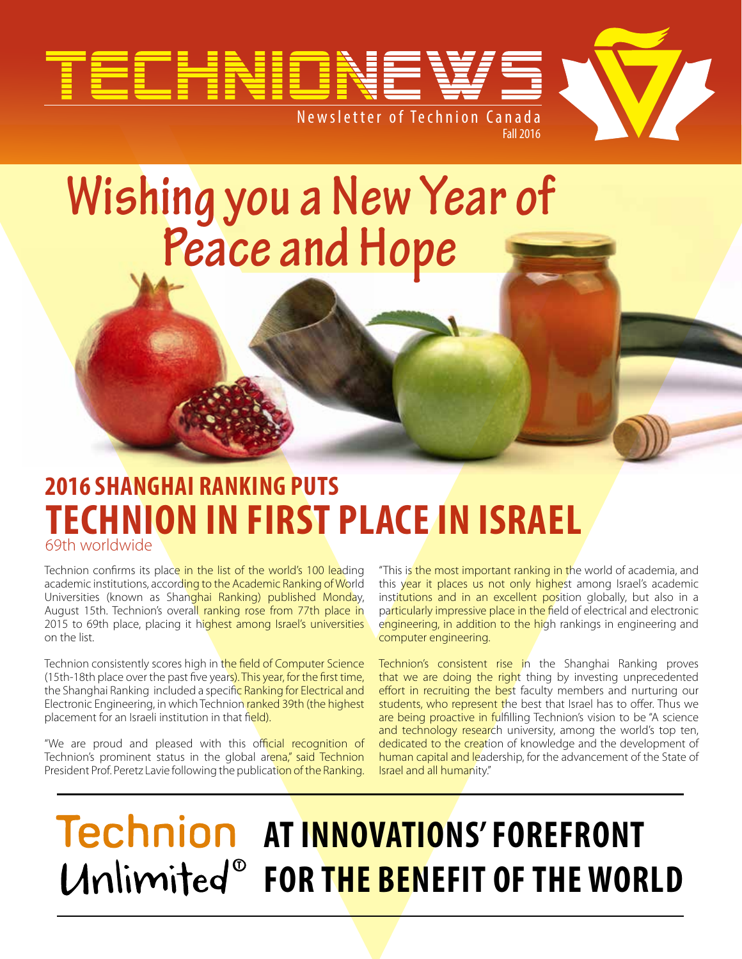

# **Wishing you a New Year of Peace and Hope**

### **2016 Shanghai ranking puts Technion in first place in israel** 69th worldwide

Technion confirms its place in the list of the world's 100 leading academic institutions, according to the Academic Ranking of World Universities (known as Shanghai Ranking) published Monday, August 15th. Technion's overall ranking rose from 77th place in 2015 to 69th place, placing it highest among Israel's universities on the list.

Technion consistently scores high in the field of Computer Science (15th-18th place over the past five years). This year, for the first time, the Shanghai Ranking included a specific Ranking for Electrical and Electronic Engineering, in which Technion ranked 39th (the highest placement for an Israeli institution in that field).

"We are proud and pleased with this official recognition of Technion's prominent status in the global arena," said Technion President Prof. Peretz Lavie following the publication of the Ranking.

"This is the most important ranking in the world of academia, and this year it places us not only highest among Israel's academic institutions and in an excellent position globally, but also in a particularly impressive place in the field of electrical and electronic engineering, in addition to the high rankings in engineering and computer engineering.

Technion's consistent rise in the Shanghai Ranking proves that we are doing the right thing by investing unprecedented effort in recruiting the best faculty members and nurturing our students, who represent the best that Israel has to offer. Thus we are being proactive in fulfilling Technion's vision to be "A science and technology research university, among the world's top ten, dedicated to the creation of knowledge and the development of human capital and leadership, for the advancement of the State of Israel and all humanity."

# **Technion AT INNOVATIONS' FOREFRONT** *<i>E I <i>EDR THE BENEFIT OF THE WORLD*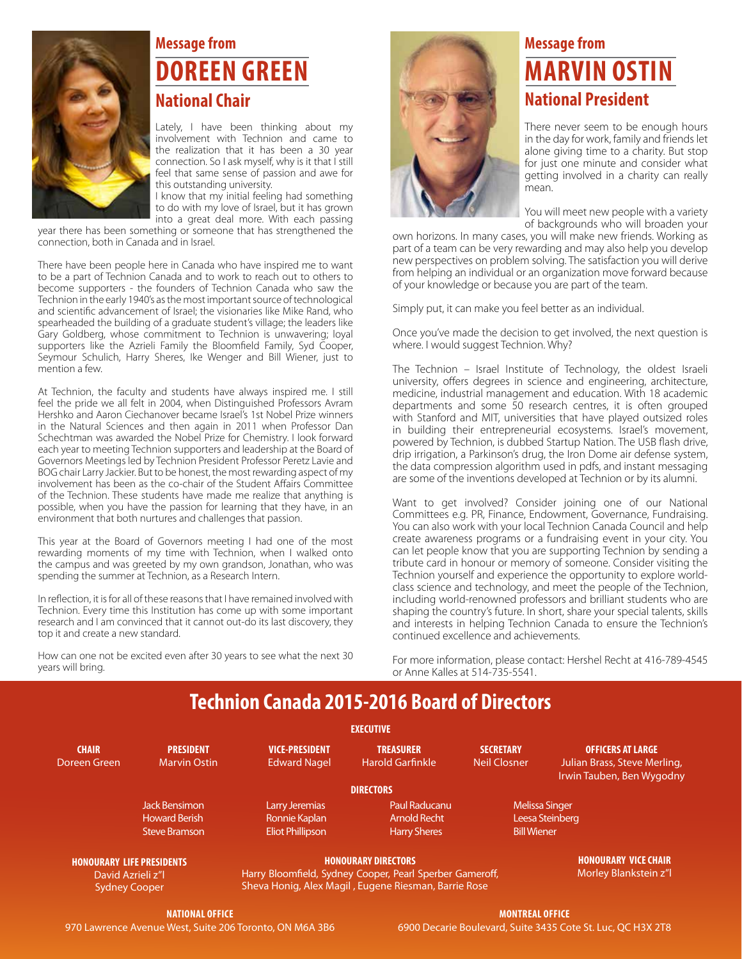

#### **Message from Doreen Green National Chair**

Lately, I have been thinking about my involvement with Technion and came to the realization that it has been a 30 year connection. So I ask myself, why is it that I still feel that same sense of passion and awe for this outstanding university.

I know that my initial feeling had something to do with my love of Israel, but it has grown into a great deal more. With each passing

year there has been something or someone that has strengthened the connection, both in Canada and in Israel.

There have been people here in Canada who have inspired me to want to be a part of Technion Canada and to work to reach out to others to become supporters - the founders of Technion Canada who saw the Technion in the early 1940's as the most important source of technological and scientific advancement of Israel; the visionaries like Mike Rand, who spearheaded the building of a graduate student's village; the leaders like Gary Goldberg, whose commitment to Technion is unwavering; loyal supporters like the Azrieli Family the Bloomfield Family, Syd Cooper, Seymour Schulich, Harry Sheres, Ike Wenger and Bill Wiener, just to mention a few.

At Technion, the faculty and students have always inspired me. I still feel the pride we all felt in 2004, when Distinguished Professors Avram Hershko and Aaron Ciechanover became Israel's 1st Nobel Prize winners in the Natural Sciences and then again in 2011 when Professor Dan Schechtman was awarded the Nobel Prize for Chemistry. I look forward each year to meeting Technion supporters and leadership at the Board of Governors Meetings led by Technion President Professor Peretz Lavie and BOG chair Larry Jackier. But to be honest, the most rewarding aspect of my involvement has been as the co-chair of the Student Affairs Committee of the Technion. These students have made me realize that anything is possible, when you have the passion for learning that they have, in an environment that both nurtures and challenges that passion.

This year at the Board of Governors meeting I had one of the most rewarding moments of my time with Technion, when I walked onto the campus and was greeted by my own grandson, Jonathan, who was spending the summer at Technion, as a Research Intern.

In reflection, it is for all of these reasons that I have remained involved with Technion. Every time this Institution has come up with some important research and I am convinced that it cannot out-do its last discovery, they top it and create a new standard.

How can one not be excited even after 30 years to see what the next 30 years will bring.



#### **Message from Marvin Ostin National President**

There never seem to be enough hours in the day for work, family and friends let alone giving time to a charity. But stop for just one minute and consider what getting involved in a charity can really mean.

You will meet new people with a variety of backgrounds who will broaden your

own horizons. In many cases, you will make new friends. Working as part of a team can be very rewarding and may also help you develop new perspectives on problem solving. The satisfaction you will derive from helping an individual or an organization move forward because of your knowledge or because you are part of the team.

Simply put, it can make you feel better as an individual.

Once you've made the decision to get involved, the next question is where. I would suggest Technion. Why?

The Technion – Israel Institute of Technology, the oldest Israeli university, offers degrees in science and engineering, architecture, medicine, industrial management and education. With 18 academic departments and some 50 research centres, it is often grouped with Stanford and MIT, universities that have played outsized roles in building their entrepreneurial ecosystems. Israel's movement, powered by Technion, is dubbed Startup Nation. The USB flash drive, drip irrigation, a Parkinson's drug, the Iron Dome air defense system, the data compression algorithm used in pdfs, and instant messaging are some of the inventions developed at Technion or by its alumni.

Want to get involved? Consider joining one of our National Committees e.g. PR, Finance, Endowment, Governance, Fundraising. You can also work with your local Technion Canada Council and help create awareness programs or a fundraising event in your city. You can let people know that you are supporting Technion by sending a tribute card in honour or memory of someone. Consider visiting the Technion yourself and experience the opportunity to explore worldclass science and technology, and meet the people of the Technion, including world-renowned professors and brilliant students who are shaping the country's future. In short, share your special talents, skills and interests in helping Technion Canada to ensure the Technion's continued excellence and achievements.

For more information, please contact: Hershel Recht at 416-789-4545 or Anne Kalles at 514-735-5541.

#### **Technion Canada 2015-2016 Board of Directors**

|                                                                               |                                                                      |                                                                                                                                                | <b>EXECUTIVE</b>                                            |                                         |                                                                                       |  |
|-------------------------------------------------------------------------------|----------------------------------------------------------------------|------------------------------------------------------------------------------------------------------------------------------------------------|-------------------------------------------------------------|-----------------------------------------|---------------------------------------------------------------------------------------|--|
| <b>CHAIR</b><br>Doreen Green                                                  | <b>PRESIDENT</b><br><b>Marvin Ostin</b>                              | <b>VICE-PRESIDENT</b><br><b>Edward Nagel</b>                                                                                                   | <b>TREASURER</b><br><b>Harold Garfinkle</b>                 | <b>SECRETARY</b><br><b>Neil Closner</b> | <b>OFFICERS AT LARGE</b><br>Julian Brass, Steve Merling,<br>Irwin Tauben, Ben Wygodny |  |
|                                                                               |                                                                      |                                                                                                                                                | <b>DIRECTORS</b>                                            |                                         |                                                                                       |  |
|                                                                               | <b>Jack Bensimon</b><br><b>Howard Berish</b><br><b>Steve Bramson</b> | Larry Jeremias<br>Ronnie Kaplan<br><b>Eliot Phillipson</b>                                                                                     | Paul Raducanu<br><b>Arnold Recht</b><br><b>Harry Sheres</b> |                                         | <b>Melissa Singer</b><br>Leesa Steinberg<br><b>Bill Wiener</b>                        |  |
| <b>HONOURARY LIFE PRESIDENTS</b><br>David Azrieli z"l<br><b>Sydney Cooper</b> |                                                                      | <b>HONOURARY DIRECTORS</b><br>Harry Bloomfield, Sydney Cooper, Pearl Sperber Gameroff,<br>Sheva Honig, Alex Magil, Eugene Riesman, Barrie Rose |                                                             |                                         | <b>HONOURARY VICE CHAIR,</b><br>Morley Blankstein z"I                                 |  |
| NATIONAL OFFICE                                                               |                                                                      |                                                                                                                                                | <b>MONTREAL OFFICE</b>                                      |                                         |                                                                                       |  |

970 Lawrence Avenue West, Suite 206 Toronto, ON M6A 3B6

**Montreal Office** 6900 Decarie Boulevard, Suite 3435 Cote St. Luc, QC H3X 2T8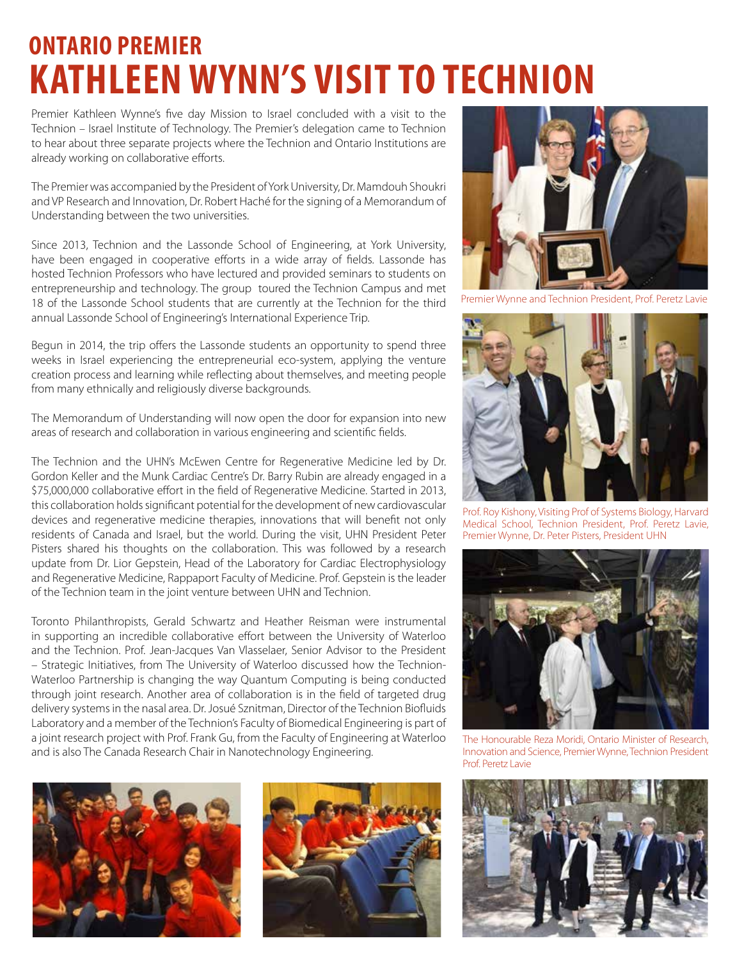## **Ontario Premier Kathleen Wynn'S Visit to Technion**

Premier Kathleen Wynne's five day Mission to Israel concluded with a visit to the Technion – Israel Institute of Technology. The Premier's delegation came to Technion to hear about three separate projects where the Technion and Ontario Institutions are already working on collaborative efforts.

The Premier was accompanied by the President of York University, Dr. Mamdouh Shoukri and VP Research and Innovation, Dr. Robert Haché for the signing of a Memorandum of Understanding between the two universities.

Since 2013, Technion and the Lassonde School of Engineering, at York University, have been engaged in cooperative efforts in a wide array of fields. Lassonde has hosted Technion Professors who have lectured and provided seminars to students on entrepreneurship and technology. The group toured the Technion Campus and met 18 of the Lassonde School students that are currently at the Technion for the third annual Lassonde School of Engineering's International Experience Trip.

Begun in 2014, the trip offers the Lassonde students an opportunity to spend three weeks in Israel experiencing the entrepreneurial eco-system, applying the venture creation process and learning while reflecting about themselves, and meeting people from many ethnically and religiously diverse backgrounds.

The Memorandum of Understanding will now open the door for expansion into new areas of research and collaboration in various engineering and scientific fields.

The Technion and the UHN's McEwen Centre for Regenerative Medicine led by Dr. Gordon Keller and the Munk Cardiac Centre's Dr. Barry Rubin are already engaged in a \$75,000,000 collaborative effort in the field of Regenerative Medicine. Started in 2013, this collaboration holds significant potential for the development of new cardiovascular devices and regenerative medicine therapies, innovations that will benefit not only residents of Canada and Israel, but the world. During the visit, UHN President Peter Pisters shared his thoughts on the collaboration. This was followed by a research update from Dr. Lior Gepstein, Head of the Laboratory for Cardiac Electrophysiology and Regenerative Medicine, Rappaport Faculty of Medicine. Prof. Gepstein is the leader of the Technion team in the joint venture between UHN and Technion.

Toronto Philanthropists, Gerald Schwartz and Heather Reisman were instrumental in supporting an incredible collaborative effort between the University of Waterloo and the Technion. Prof. Jean-Jacques Van Vlasselaer, Senior Advisor to the President – Strategic Initiatives, from The University of Waterloo discussed how the Technion-Waterloo Partnership is changing the way Quantum Computing is being conducted through joint research. Another area of collaboration is in the field of targeted drug delivery systems in the nasal area. Dr. Josué Sznitman, Director of the Technion Biofluids Laboratory and a member of the Technion's Faculty of Biomedical Engineering is part of a joint research project with Prof. Frank Gu, from the Faculty of Engineering at Waterloo and is also The Canada Research Chair in Nanotechnology Engineering.







Premier Wynne and Technion President, Prof. Peretz Lavie



Prof. Roy Kishony, Visiting Prof of Systems Biology, Harvard Medical School, Technion President, Prof. Peretz Lavie, Premier Wynne, Dr. Peter Pisters, President UHN



The Honourable Reza Moridi, Ontario Minister of Research, Innovation and Science, Premier Wynne, Technion President Prof. Peretz Lavie

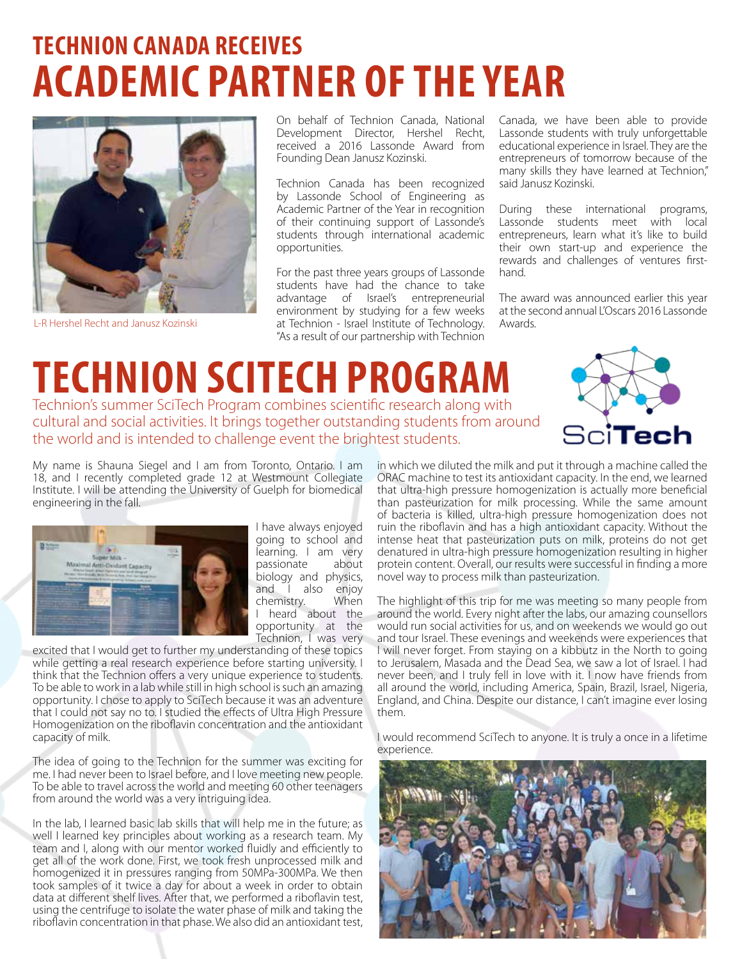# **TECHNION CANADA RECEIVES ACADEMIC PARTNER OFTHE YEAR**



On behalf of Technion Canada, National Development Director, Hershel Recht, received a 2016 Lassonde Award from Founding Dean Janusz Kozinski.

Technion Canada has been recognized by Lassonde School of Engineering as Academic Partner of the Year in recognition of their continuing support of Lassonde's students through international academic opportunities.

For the past three years groups of Lassonde students have had the chance to take advantage of Israel's entrepreneurial environment by studying for a few weeks L-R Hershel Recht and Janusz Kozinski **Australie Exercitor and Technion - Israel Institute of Technology.** Awards. "As a result of our partnership with Technion

Canada, we have been able to provide Lassonde students with truly unforgettable educational experience in Israel. They are the entrepreneurs of tomorrow because of the many skills they have learned at Technion," said Janusz Kozinski.

During these international programs, Lassonde students meet with local entrepreneurs, learn what it's like to build their own start-up and experience the rewards and challenges of ventures firsthand.

The award was announced earlier this year at the second annual L'Oscars 2016 Lassonde

## **TECHNION SCITECH PROGRAM** Technion's summer SciTech Program combines scientific research along with

cultural and social activities. It brings together outstanding students from around the world and is intended to challenge event the brightest students.



My name is Shauna Siegel and I am from Toronto, Ontario. I am 18, and I recently completed grade 12 at Westmount Collegiate Institute. I will be attending the University of Guelph for biomedical engineering in the fall.



I have always enjoyed going to school and learning. I am very passionate about biology and physics,<br>and I also enjoy and I also chemistry. When I heard about the opportunity at the Technion, I was very

excited that I would get to further my understanding of these topics while getting a real research experience before starting university. I think that the Technion offers a very unique experience to students. To be able to work in a lab while still in high school is such an amazing opportunity. I chose to apply to SciTech because it was an adventure that I could not say no to. I studied the effects of Ultra High Pressure Homogenization on the riboflavin concentration and the antioxidant capacity of milk.

The idea of going to the Technion for the summer was exciting for me. I had never been to Israel before, and I love meeting new people. To be able to travel across the world and meeting 60 other teenagers from around the world was a very intriguing idea.

In the lab, I learned basic lab skills that will help me in the future; as well I learned key principles about working as a research team. My team and I, along with our mentor worked fluidly and efficiently to get all of the work done. First, we took fresh unprocessed milk and homogenized it in pressures ranging from 50MPa-300MPa. We then took samples of it twice a day for about a week in order to obtain data at different shelf lives. After that, we performed a riboflavin test, using the centrifuge to isolate the water phase of milk and taking the riboflavin concentration in that phase. We also did an antioxidant test,

in which we diluted the milk and put it through a machine called the ORAC machine to test its antioxidant capacity. In the end, we learned that ultra-high pressure homogenization is actually more beneficial than pasteurization for milk processing. While the same amount of bacteria is killed, ultra-high pressure homogenization does not ruin the riboflavin and has a high antioxidant capacity. Without the intense heat that pasteurization puts on milk, proteins do not get denatured in ultra-high pressure homogenization resulting in higher protein content. Overall, our results were successful in finding a more novel way to process milk than pasteurization.

The highlight of this trip for me was meeting so many people from around the world. Every night after the labs, our amazing counsellors would run social activities for us, and on weekends we would go out and tour Israel. These evenings and weekends were experiences that I will never forget. From staying on a kibbutz in the North to going to Jerusalem, Masada and the Dead Sea, we saw a lot of Israel. I had never been, and I truly fell in love with it. I now have friends from all around the world, including America, Spain, Brazil, Israel, Nigeria, England, and China. Despite our distance, I can't imagine ever losing them.

I would recommend SciTech to anyone. It is truly a once in a lifetime experience.

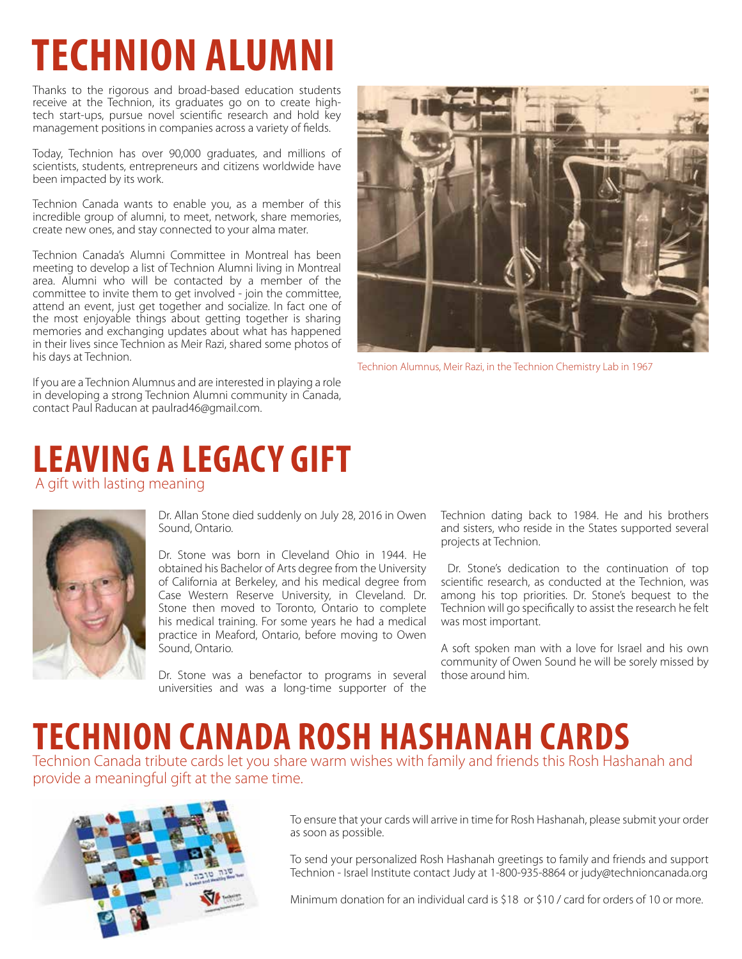# **Technion alumni**

Thanks to the rigorous and broad-based education students receive at the Technion, its graduates go on to create hightech start-ups, pursue novel scientific research and hold key management positions in companies across a variety of fields.

Today, Technion has over 90,000 graduates, and millions of scientists, students, entrepreneurs and citizens worldwide have been impacted by its work.

Technion Canada wants to enable you, as a member of this incredible group of alumni, to meet, network, share memories, create new ones, and stay connected to your alma mater.

Technion Canada's Alumni Committee in Montreal has been meeting to develop a list of Technion Alumni living in Montreal area. Alumni who will be contacted by a member of the committee to invite them to get involved - join the committee, attend an event, just get together and socialize. In fact one of the most enjoyable things about getting together is sharing memories and exchanging updates about what has happened in their lives since Technion as Meir Razi, shared some photos of his days at Technion.

If you are a Technion Alumnus and are interested in playing a role in developing a strong Technion Alumni community in Canada, contact Paul Raducan at paulrad46@gmail.com.



Technion Alumnus, Meir Razi, in the Technion Chemistry Lab in 1967

#### **Leaving a Legacy Gift** A gift with lasting meaning



Dr. Allan Stone died suddenly on July 28, 2016 in Owen Sound, Ontario.

Dr. Stone was born in Cleveland Ohio in 1944. He obtained his Bachelor of Arts degree from the University of California at Berkeley, and his medical degree from Case Western Reserve University, in Cleveland. Dr. Stone then moved to Toronto, Ontario to complete his medical training. For some years he had a medical practice in Meaford, Ontario, before moving to Owen Sound, Ontario.

Dr. Stone was a benefactor to programs in several universities and was a long-time supporter of the Technion dating back to 1984. He and his brothers and sisters, who reside in the States supported several projects at Technion.

 Dr. Stone's dedication to the continuation of top scientific research, as conducted at the Technion, was among his top priorities. Dr. Stone's bequest to the Technion will go specifically to assist the research he felt was most important.

A soft spoken man with a love for Israel and his own community of Owen Sound he will be sorely missed by those around him.

# **Technion Canada Rosh Hashanah Cards**

Technion Canada tribute cards let you share warm wishes with family and friends this Rosh Hashanah and provide a meaningful gift at the same time.



To ensure that your cards will arrive in time for Rosh Hashanah, please submit your order as soon as possible.

To send your personalized Rosh Hashanah greetings to family and friends and support Technion - Israel Institute contact Judy at 1-800-935-8864 or judy@technioncanada.org

Minimum donation for an individual card is \$18 or \$10 / card for orders of 10 or more.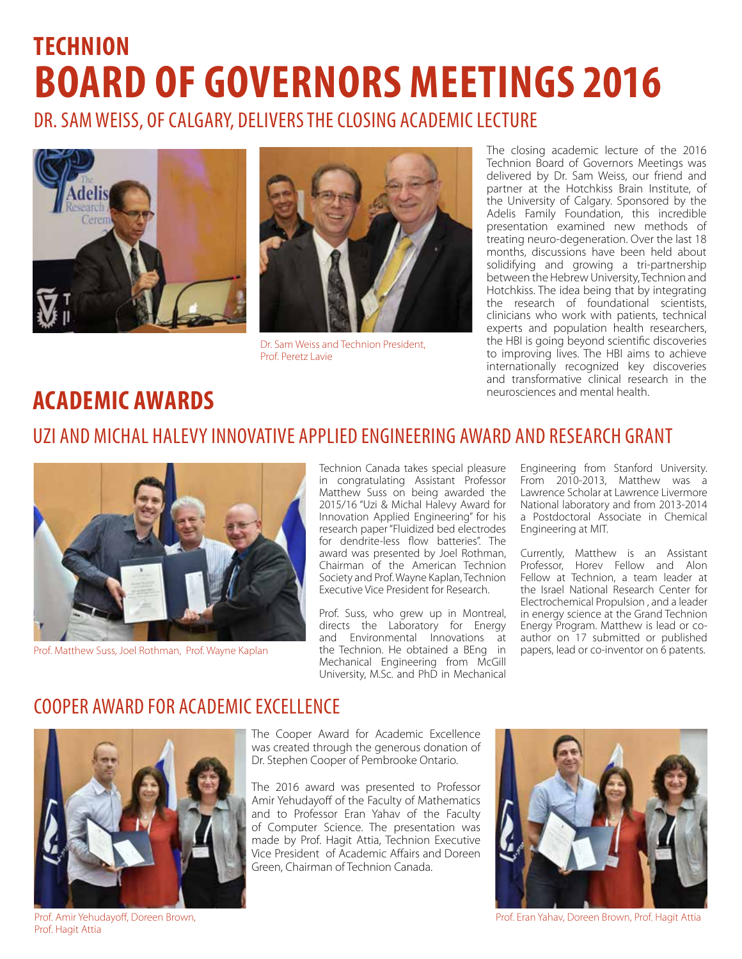# **TECHNION BOARD OF GOVERNORS MEETINGS 2016**

Dr. Sam Weiss, of Calgary, deliversthe closing academic lecture





Dr. Sam Weiss and Technion President, Prof. Peretz Lavie

The closing academic lecture of the 2016 Technion Board of Governors Meetings was delivered by Dr. Sam Weiss, our friend and partner at the Hotchkiss Brain Institute, of the University of Calgary. Sponsored by the Adelis Family Foundation, this incredible presentation examined new methods of treating neuro-degeneration. Over the last 18 months, discussions have been held about solidifying and growing a tri-partnership between the Hebrew University, Technion and Hotchkiss. The idea being that by integrating the research of foundational scientists, clinicians who work with patients, technical experts and population health researchers, the HBI is going beyond scientific discoveries to improving lives. The HBI aims to achieve internationally recognized key discoveries and transformative clinical research in the neurosciences and mental health

## neurosciences and mental health. **academic awards**

#### uzi and michal halevy innovative applied engineering award and research grant



Prof. Matthew Suss, Joel Rothman, Prof. Wayne Kaplan

Technion Canada takes special pleasure in congratulating Assistant Professor Matthew Suss on being awarded the 2015/16 "Uzi & Michal Halevy Award for Innovation Applied Engineering" for his research paper "Fluidized bed electrodes for dendrite-less flow batteries". The award was presented by Joel Rothman, Chairman of the American Technion Society and Prof. Wayne Kaplan, Technion Executive Vice President for Research.

Prof. Suss, who grew up in Montreal, directs the Laboratory for Energy and Environmental Innovations at the Technion. He obtained a BEng in Mechanical Engineering from McGill University, M.Sc. and PhD in Mechanical

Engineering from Stanford University. From 2010-2013, Matthew was a Lawrence Scholar at Lawrence Livermore National laboratory and from 2013-2014 a Postdoctoral Associate in Chemical Engineering at MIT.

Currently, Matthew is an Assistant Professor, Horev Fellow and Alon Fellow at Technion, a team leader at the Israel National Research Center for Electrochemical Propulsion , and a leader in energy science at the Grand Technion Energy Program. Matthew is lead or coauthor on 17 submitted or published papers, lead or co-inventor on 6 patents.

#### cooper award for academic excellence



The Cooper Award for Academic Excellence was created through the generous donation of Dr. Stephen Cooper of Pembrooke Ontario.

The 2016 award was presented to Professor Amir Yehudayoff of the Faculty of Mathematics and to Professor Eran Yahav of the Faculty of Computer Science. The presentation was made by Prof. Hagit Attia, Technion Executive Vice President of Academic Affairs and Doreen Green, Chairman of Technion Canada.



Prof. Amir Yehudayoff, Doreen Brown, Prof. Eran Yahav, Doreen Brown, Prof. Hagit Attia

Prof. Hagit Attia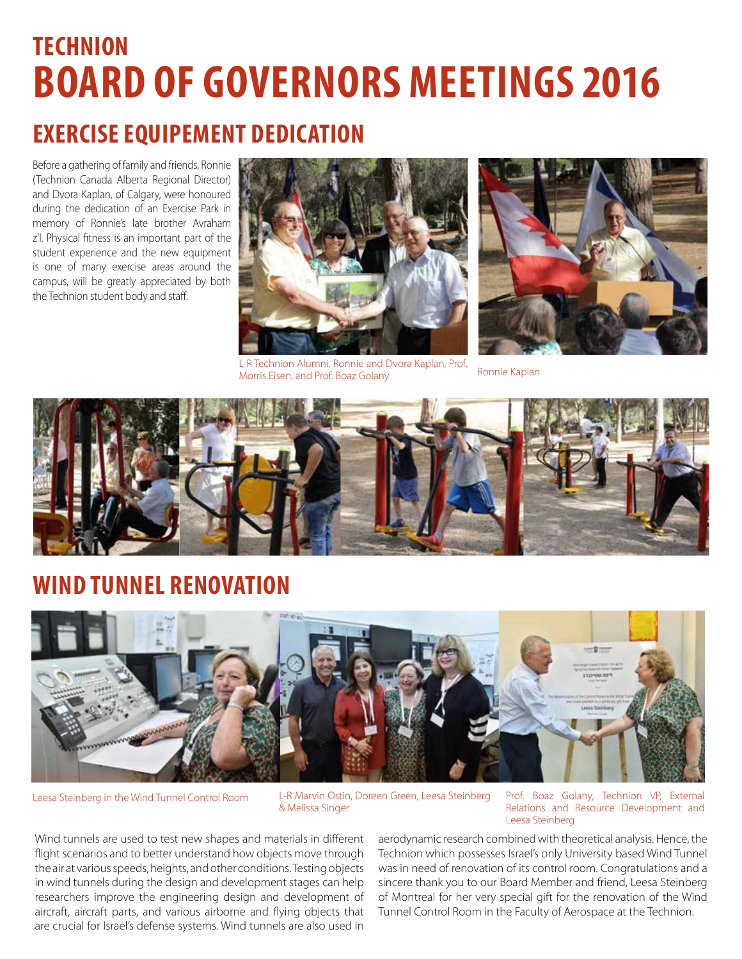# **TECHNION BOARD OF GOVERNORS MEETINGS 2016**

## **Exercise Equipement dedication**

Before a gathering of family and friends, Ronnie (Technion Canada Alberta Regional Director) and Dvora Kaplan, of Calgary, were honoured during the dedication of an Exercise Park in memory of Ronnie's late brother Avraham z'l. Physical fitness is an important part of the student experience and the new equipment is one of many exercise areas around the campus, will be greatly appreciated by both the Technion student body and staff.



L-R Technion Alumni, Ronnie and Dvora Kaplan, Prof. **EXTREMINION WARNING WAS COVERT OF A LIGHT CONDUCT** Ronnie Kaplan<br>Morris Eisen, and Prof. Boaz Golany Ronnie Kaplan





## **ND TUNNEL RENOVATION**



Leesa Steinberg in the Wind Tunnel Control Room L-R Marvin Ostin, Doreen Green, Leesa Steinberg Prof. Boaz Golany, Technion VP, External L-R Marvin Ostin, Doreen Green, Leesa Steinberg & Melissa Singer

Relations and Resource Development and Leesa Steinberg

Wind tunnels are used to test new shapes and materials in different flight scenarios and to better understand how objects move through the air at various speeds, heights, and other conditions. Testing objects in wind tunnels during the design and development stages can help researchers improve the engineering design and development of aircraft, aircraft parts, and various airborne and flying objects that are crucial for Israel's defense systems. Wind tunnels are also used in

aerodynamic research combined with theoretical analysis. Hence, the Technion which possesses Israel's only University based Wind Tunnel was in need of renovation of its control room. Congratulations and a sincere thank you to our Board Member and friend, Leesa Steinberg of Montreal for her very special gift for the renovation of the Wind Tunnel Control Room in the Faculty of Aerospace at the Technion.